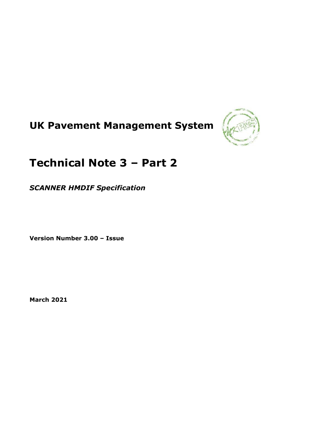# **UK Pavement Management System**



## **Technical Note 3 – Part 2**

*SCANNER HMDIF Specification*

**Version Number 3.00 – Issue**

**March 2021**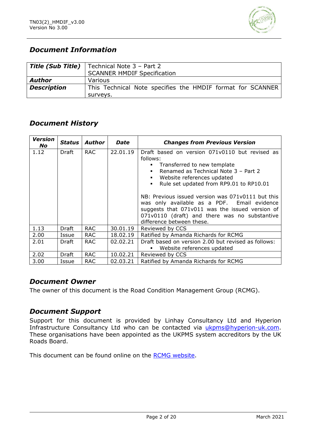

## *Document Information*

|                    | <b>Title (Sub Title)</b>   Technical Note $3$ – Part 2     |
|--------------------|------------------------------------------------------------|
|                    | <b>SCANNER HMDIF Specification</b>                         |
| <b>Author</b>      | Various                                                    |
| <b>Description</b> | This Technical Note specifies the HMDIF format for SCANNER |
|                    | surveys.                                                   |

## *Document History*

| <b>Version</b><br><b>No</b> | <b>Status</b> | <b>Author</b> | Date     | <b>Changes from Previous Version</b>                                                                                                                                                                                              |
|-----------------------------|---------------|---------------|----------|-----------------------------------------------------------------------------------------------------------------------------------------------------------------------------------------------------------------------------------|
| 1.12                        | Draft         | <b>RAC</b>    | 22.01.19 | Draft based on version 071v0110 but revised as                                                                                                                                                                                    |
|                             |               |               |          | follows:                                                                                                                                                                                                                          |
|                             |               |               |          | Transferred to new template<br>$\blacksquare$                                                                                                                                                                                     |
|                             |               |               |          | Renamed as Technical Note 3 - Part 2<br>$\blacksquare$                                                                                                                                                                            |
|                             |               |               |          | Website references updated<br>$\blacksquare$                                                                                                                                                                                      |
|                             |               |               |          | Rule set updated from RP9.01 to RP10.01<br>$\blacksquare$                                                                                                                                                                         |
|                             |               |               |          | NB: Previous issued version was 071v0111 but this<br>was only available as a PDF. Email evidence<br>suggests that 071v011 was the issued version of<br>071v0110 (draft) and there was no substantive<br>difference between these. |
| 1.13                        | Draft         | <b>RAC</b>    | 30.01.19 | Reviewed by CCS                                                                                                                                                                                                                   |
| 2.00                        | Issue         | <b>RAC</b>    | 18.02.19 | Ratified by Amanda Richards for RCMG                                                                                                                                                                                              |
| 2.01                        | Draft         | <b>RAC</b>    | 02.02.21 | Draft based on version 2.00 but revised as follows:                                                                                                                                                                               |
|                             |               |               |          | Website references updated                                                                                                                                                                                                        |
| 2.02                        | Draft         | <b>RAC</b>    | 10.02.21 | Reviewed by CCS                                                                                                                                                                                                                   |
| 3.00                        | Issue         | <b>RAC</b>    | 02.03.21 | Ratified by Amanda Richards for RCMG                                                                                                                                                                                              |

## *Document Owner*

The owner of this document is the Road Condition Management Group (RCMG).

#### *Document Support*

Support for this document is provided by Linhay Consultancy Ltd and Hyperion Infrastructure Consultancy Ltd who can be contacted via [ukpms@hyperion-uk.com.](mailto:ukpms@hyperion-uk.com) These organisations have been appointed as the UKPMS system accreditors by the UK Roads Board.

This document can be found online on the [RCMG website.](https://www.ciht.org.uk/ukrlg-home/guidance/road-condition-information/data-management/uk-pavement-management-system-ukpms/)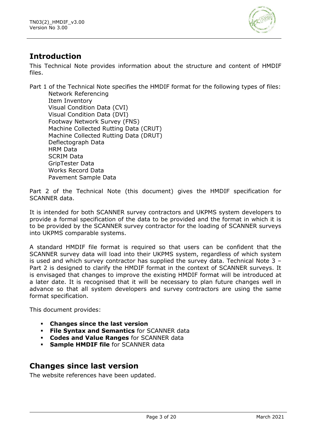

## **Introduction**

This Technical Note provides information about the structure and content of HMDIF files.

Part 1 of the Technical Note specifies the HMDIF format for the following types of files: Network Referencing Item Inventory Visual Condition Data (CVI) Visual Condition Data (DVI) Footway Network Survey (FNS) Machine Collected Rutting Data (CRUT) Machine Collected Rutting Data (DRUT) Deflectograph Data HRM Data SCRIM Data GripTester Data Works Record Data Pavement Sample Data

Part 2 of the Technical Note (this document) gives the HMDIF specification for SCANNER data.

It is intended for both SCANNER survey contractors and UKPMS system developers to provide a formal specification of the data to be provided and the format in which it is to be provided by the SCANNER survey contractor for the loading of SCANNER surveys into UKPMS comparable systems.

A standard HMDIF file format is required so that users can be confident that the SCANNER survey data will load into their UKPMS system, regardless of which system is used and which survey contractor has supplied the survey data. Technical Note 3 – Part 2 is designed to clarify the HMDIF format in the context of SCANNER surveys. It is envisaged that changes to improve the existing HMDIF format will be introduced at a later date. It is recognised that it will be necessary to plan future changes well in advance so that all system developers and survey contractors are using the same format specification.

This document provides:

- **Changes since the last version**
- **File Syntax and Semantics** for SCANNER data
- **Codes and Value Ranges** for SCANNER data
- **Sample HMDIF file** for SCANNER data

## **Changes since last version**

The website references have been updated.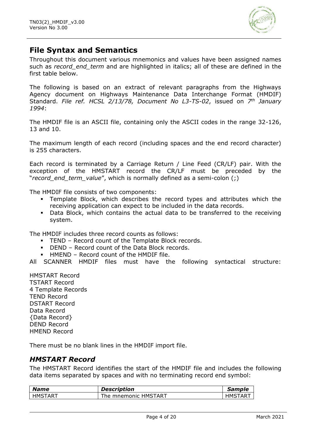

## **File Syntax and Semantics**

Throughout this document various mnemonics and values have been assigned names such as *record end term* and are highlighted in italics; all of these are defined in the first table below.

The following is based on an extract of relevant paragraphs from the Highways Agency document on Highways Maintenance Data Interchange Format (HMDIF) Standard. *File ref. HCSL 2/13/78, Document No L3-TS-02*, issued on *7 th January 1994*:

The HMDIF file is an ASCII file, containing only the ASCII codes in the range 32-126, 13 and 10.

The maximum length of each record (including spaces and the end record character) is 255 characters.

Each record is terminated by a Carriage Return / Line Feed (CR/LF) pair. With the exception of the HMSTART record the CR/LF must be preceded by the "*record\_end\_term\_value*", which is normally defined as a semi-colon (;)

The HMDIF file consists of two components:

- Template Block, which describes the record types and attributes which the receiving application can expect to be included in the data records.
- Data Block, which contains the actual data to be transferred to the receiving system.

The HMDIF includes three record counts as follows:

- TEND Record count of the Template Block records.
- DEND Record count of the Data Block records.
- $\blacksquare$  HMEND Record count of the HMDIE file.

All SCANNER HMDIF files must have the following syntactical structure:

HMSTART Record TSTART Record 4 Template Records TEND Record DSTART Record Data Record {Data Record} DEND Record HMEND Record

There must be no blank lines in the HMDIF import file.

#### *HMSTART Record*

The HMSTART Record identifies the start of the HMDIF file and includes the following data items separated by spaces and with no terminating record end symbol:

| <b>Name</b>    | <b>Description</b>   | <i><b>Sample</b></i> |
|----------------|----------------------|----------------------|
| <b>HMSTART</b> | The mnemonic HMSTART | HMSTAR <sup>-</sup>  |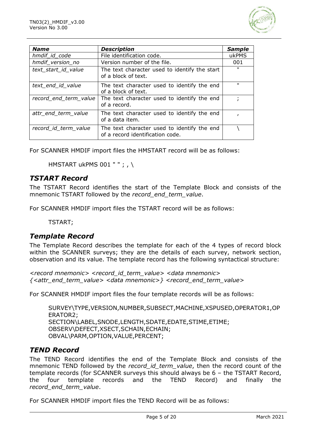

| <b>Name</b>           | <b>Description</b>                                                              | <b>Sample</b> |
|-----------------------|---------------------------------------------------------------------------------|---------------|
| hmdif id code         | File identification code.                                                       | ukPMS         |
| hmdif_version_no      | Version number of the file.                                                     | 001           |
| text_start_id_value   | The text character used to identify the start<br>of a block of text.            | $\mathbf{u}$  |
| text end id value     | The text character used to identify the end<br>of a block of text.              | п.            |
| record_end_term_value | The text character used to identify the end<br>of a record.                     |               |
| attr end term value   | The text character used to identify the end<br>of a data item.                  |               |
| record_id_term_value  | The text character used to identify the end<br>of a record identification code. |               |

For SCANNER HMDIF import files the HMSTART record will be as follows:

HMSTART ukPMS 001 " " ; , \

#### *TSTART Record*

The TSTART Record identifies the start of the Template Block and consists of the mnemonic TSTART followed by the *record\_end\_term\_value*.

For SCANNER HMDIF import files the TSTART record will be as follows:

TSTART;

#### *Template Record*

The Template Record describes the template for each of the 4 types of record block within the SCANNER surveys; they are the details of each survey, network section, observation and its value. The template record has the following syntactical structure:

*<record mnemonic> <record\_id\_term\_value> <data mnemonic> {<attr\_end\_term\_value> <data mnemonic>} <record\_end\_term\_value>*

For SCANNER HMDIF import files the four template records will be as follows:

SURVEY\TYPE,VERSION,NUMBER,SUBSECT,MACHINE,XSPUSED,OPERATOR1,OP ERATOR2; SECTION\LABEL,SNODE,LENGTH,SDATE,EDATE,STIME,ETIME; OBSERV\DEFECT,XSECT,SCHAIN,ECHAIN; OBVAL\PARM,OPTION,VALUE,PERCENT;

#### *TEND Record*

The TEND Record identifies the end of the Template Block and consists of the mnemonic TEND followed by the *record\_id\_term\_value*, then the record count of the template records (for SCANNER surveys this should always be 6 – the TSTART Record, the four template records and the TEND Record) and finally the *record\_end\_term\_value*.

For SCANNER HMDIF import files the TEND Record will be as follows: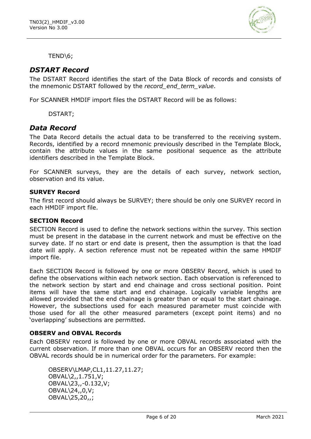

TEND\6;

#### *DSTART Record*

The DSTART Record identifies the start of the Data Block of records and consists of the mnemonic DSTART followed by the *record\_end\_term\_value*.

For SCANNER HMDIF import files the DSTART Record will be as follows:

DSTART;

#### *Data Record*

The Data Record details the actual data to be transferred to the receiving system. Records, identified by a record mnemonic previously described in the Template Block, contain the attribute values in the same positional sequence as the attribute identifiers described in the Template Block.

For SCANNER surveys, they are the details of each survey, network section, observation and its value.

#### **SURVEY Record**

The first record should always be SURVEY; there should be only one SURVEY record in each HMDIF import file.

#### **SECTION Record**

SECTION Record is used to define the network sections within the survey. This section must be present in the database in the current network and must be effective on the survey date. If no start or end date is present, then the assumption is that the load date will apply. A section reference must not be repeated within the same HMDIF import file.

Each SECTION Record is followed by one or more OBSERV Record, which is used to define the observations within each network section. Each observation is referenced to the network section by start and end chainage and cross sectional position. Point items will have the same start and end chainage. Logically variable lengths are allowed provided that the end chainage is greater than or equal to the start chainage. However, the subsections used for each measured parameter must coincide with those used for all the other measured parameters (except point items) and no 'overlapping' subsections are permitted.

#### **OBSERV and OBVAL Records**

Each OBSERV record is followed by one or more OBVAL records associated with the current observation. If more than one OBVAL occurs for an OBSERV record then the OBVAL records should be in numerical order for the parameters. For example:

OBSERV\LMAP,CL1,11.27,11.27; OBVAL\2,,1.751,V; OBVAL\23,,-0.132,V; OBVAL\24,,0,V; OBVAL\25,20,,;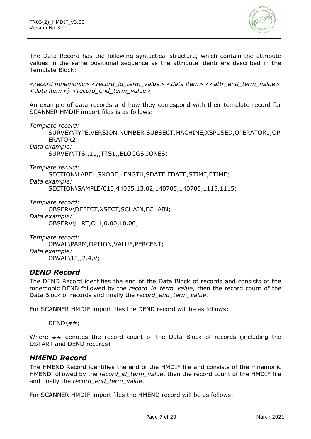

The Data Record has the following syntactical structure, which contain the attribute values in the same positional sequence as the attribute identifiers described in the Template Block:

*<record mnemonic> <record\_id\_term\_value> <data item> {<attr\_end\_term\_value> <data item>} <record\_end\_term\_value>*

An example of data records and how they correspond with their template record for SCANNER HMDIF import files is as follows:

*Template record:*

SURVEY\TYPE,VERSION,NUMBER,SUBSECT,MACHINE,XSPUSED,OPERATOR1,OP ERATOR2;

*Data example:*

SURVEY\TTS,,11,,TTS1,,BLOGGS,JONES;

*Template record:*

SECTION\LABEL,SNODE,LENGTH,SDATE,EDATE,STIME,ETIME;

*Data example:*

SECTION\SAMPLE/010,44055,13.02,140705,140705,1115,1115;

*Template record:* OBSERV\DEFECT,XSECT,SCHAIN,ECHAIN; *Data example:* OBSERV\LLRT,CL1,0.00,10.00;

*Template record:* OBVAL\PARM,OPTION,VALUE,PERCENT; *Data example:* OBVAL\13,,2.4,V;

#### *DEND Record*

The DEND Record identifies the end of the Data Block of records and consists of the mnemonic DEND followed by the *record id term value*, then the record count of the Data Block of records and finally the *record\_end\_term\_value*.

For SCANNER HMDIF import files the DEND record will be as follows:

 $DEND\$  #  $\#$ ;

Where ## denotes the record count of the Data Block of records (including the DSTART and DEND records)

#### *HMEND Record*

The HMEND Record identifies the end of the HMDIF file and consists of the mnemonic HMEND followed by the *record\_id\_term\_value*, then the record count of the HMDIF file and finally the *record\_end\_term\_value*.

For SCANNER HMDIF import files the HMEND record will be as follows: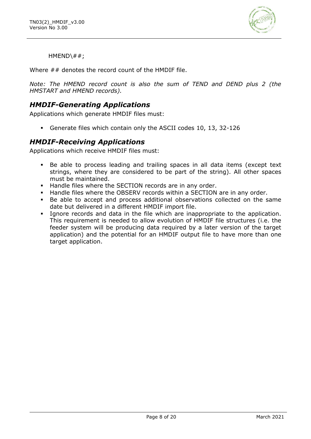

 $HMEND\$  #;

Where ## denotes the record count of the HMDIF file.

*Note: The HMEND record count is also the sum of TEND and DEND plus 2 (the HMSTART and HMEND records).*

### *HMDIF-Generating Applications*

Applications which generate HMDIF files must:

Generate files which contain only the ASCII codes 10, 13, 32-126

#### *HMDIF-Receiving Applications*

Applications which receive HMDIF files must:

- Be able to process leading and trailing spaces in all data items (except text strings, where they are considered to be part of the string). All other spaces must be maintained.
- Handle files where the SECTION records are in any order.
- Handle files where the OBSERV records within a SECTION are in any order.
- Be able to accept and process additional observations collected on the same date but delivered in a different HMDIF import file.
- Ignore records and data in the file which are inappropriate to the application. This requirement is needed to allow evolution of HMDIF file structures (i.e. the feeder system will be producing data required by a later version of the target application) and the potential for an HMDIF output file to have more than one target application.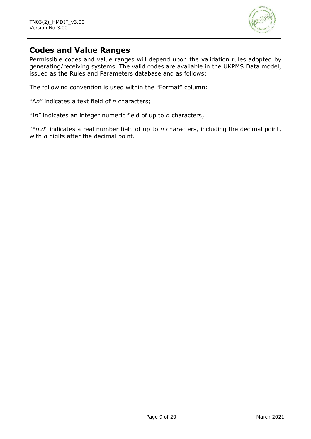

## **Codes and Value Ranges**

Permissible codes and value ranges will depend upon the validation rules adopted by generating/receiving systems. The valid codes are available in the UKPMS Data model, issued as the Rules and Parameters database and as follows:

The following convention is used within the "Format" column:

"A*n*" indicates a text field of *n* characters;

"I*n*" indicates an integer numeric field of up to *n* characters;

"F*n*.*d*" indicates a real number field of up to *n* characters, including the decimal point, with *d* digits after the decimal point.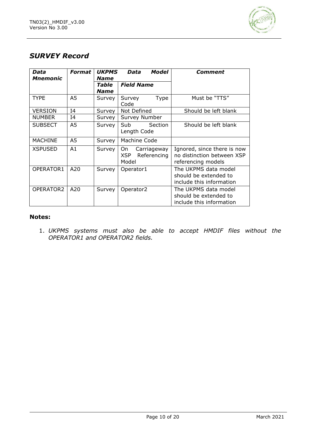

## *SURVEY Record*

| Data<br>Mnemonic | <b>Format</b>  | <b>UKPMS</b><br><b>Name</b> | Model<br>Data                                           | Comment                                                                         |
|------------------|----------------|-----------------------------|---------------------------------------------------------|---------------------------------------------------------------------------------|
|                  |                | Table<br><b>Name</b>        | <b>Field Name</b>                                       |                                                                                 |
| <b>TYPE</b>      | A5             | Survey                      | Type<br>Survey<br>Code                                  | Must be "TTS"                                                                   |
| <b>VERSION</b>   | I <sub>4</sub> | Survey                      | Not Defined                                             | Should be left blank                                                            |
| <b>NUMBER</b>    | I4             | Survey                      | Survey Number                                           |                                                                                 |
| <b>SUBSECT</b>   | A5             | Survey                      | Sub<br>Section<br>Length Code                           | Should be left blank                                                            |
| <b>MACHINE</b>   | A <sub>5</sub> | Survey                      | Machine Code                                            |                                                                                 |
| <b>XSPUSED</b>   | A1             | Survey                      | On<br>Carriageway<br><b>XSP</b><br>Referencing<br>Model | Ignored, since there is now<br>no distinction between XSP<br>referencing models |
| OPERATOR1        | A20            | Survey                      | Operator1                                               | The UKPMS data model<br>should be extended to<br>include this information       |
| OPERATOR2        | A20            | Survey                      | Operator <sub>2</sub>                                   | The UKPMS data model<br>should be extended to<br>include this information       |

#### **Notes:**

1. *UKPMS systems must also be able to accept HMDIF files without the OPERATOR1 and OPERATOR2 fields.*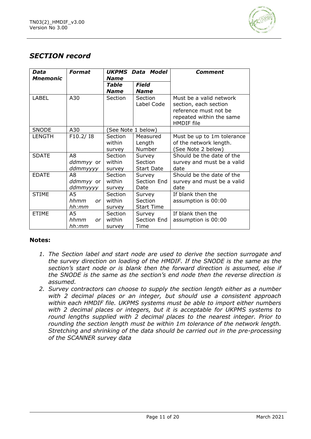

## *SECTION record*

| Data<br><b>Mnemonic</b> | Format           | UKPMS Data Model<br><b>Name</b> |                              | Comment                                                                                                                    |
|-------------------------|------------------|---------------------------------|------------------------------|----------------------------------------------------------------------------------------------------------------------------|
|                         |                  | Table<br><b>Name</b>            | Field<br><b>Name</b>         |                                                                                                                            |
| <b>LABEL</b>            | A30              | Section                         | <b>Section</b><br>Label Code | Must be a valid network<br>section, each section<br>reference must not be<br>repeated within the same<br><b>HMDIF</b> file |
| <b>SNODE</b>            | A30              |                                 | See Note 1 below)            |                                                                                                                            |
| <b>LENGTH</b>           | F10.2/18         | Section                         | Measured                     | Must be up to 1m tolerance                                                                                                 |
|                         |                  | within                          | Length                       | of the network length.                                                                                                     |
|                         |                  | survey                          | Number                       | (See Note 2 below)                                                                                                         |
| <b>SDATE</b>            | A8               | Section                         | Survey                       | Should be the date of the                                                                                                  |
|                         | <i>ddmmyy</i> or | within                          | Section                      | survey and must be a valid                                                                                                 |
|                         | ddmmyyyy         | survey                          | <b>Start Date</b>            | date                                                                                                                       |
| <b>EDATE</b>            | A8               | Section                         | Survey                       | Should be the date of the                                                                                                  |
|                         | <i>ddmmyy</i> or | within                          | Section End                  | survey and must be a valid                                                                                                 |
|                         | ddmmyyyy         | survey                          | Date                         | date                                                                                                                       |
| <b>STIME</b>            | A5               | Section                         | Survey                       | If blank then the                                                                                                          |
|                         | hhmm<br>or.      | within                          | Section                      | assumption is 00:00                                                                                                        |
|                         | hh:mm            | survey                          | <b>Start Time</b>            |                                                                                                                            |
| <b>ETIME</b>            | A5.              | Section                         | Survey                       | If blank then the                                                                                                          |
|                         | hhmm<br>or       | within                          | Section End                  | assumption is 00:00                                                                                                        |
|                         | hh:mm            | survey                          | Time                         |                                                                                                                            |

- *1. The Section label and start node are used to derive the section surrogate and the survey direction on loading of the HMDIF. If the SNODE is the same as the section's start node or is blank then the forward direction is assumed, else if the SNODE is the same as the section's end node then the reverse direction is assumed.*
- *2. Survey contractors can choose to supply the section length either as a number with 2 decimal places or an integer, but should use a consistent approach within each HMDIF file. UKPMS systems must be able to import either numbers with 2 decimal places or integers, but it is acceptable for UKPMS systems to round lengths supplied with 2 decimal places to the nearest integer. Prior to rounding the section length must be within 1m tolerance of the network length. Stretching and shrinking of the data should be carried out in the pre-processing of the SCANNER survey data*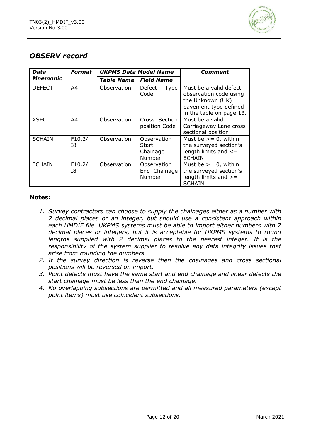

## *OBSERV record*

| Data          | Format         | <b>UKPMS Data Model Name</b> |                                              | <b>Comment</b>                                                                                                            |
|---------------|----------------|------------------------------|----------------------------------------------|---------------------------------------------------------------------------------------------------------------------------|
| Mnemonic      |                | Table Name                   | <b>Field Name</b>                            |                                                                                                                           |
| <b>DEFECT</b> | A4             | Observation                  | Defect<br>Type<br>Code                       | Must be a valid defect<br>observation code using<br>the Unknown (UK)<br>pavement type defined<br>in the table on page 13. |
| <b>XSECT</b>  | A <sub>4</sub> | Observation                  | Cross Section<br>position Code               | Must be a valid<br>Carriageway Lane cross<br>sectional position                                                           |
| <b>SCHAIN</b> | F10.2/<br>I8   | Observation                  | Observation<br>Start<br>Chainage<br>Number   | Must be $>= 0$ , within<br>the surveyed section's<br>length limits and $\leq$ =<br><b>ECHAIN</b>                          |
| <b>ECHAIN</b> | F10.2/<br>I8   | Observation                  | Observation<br>End Chainage<br><b>Number</b> | Must be $>= 0$ , within<br>the surveyed section's<br>length limits and $>=$<br><b>SCHAIN</b>                              |

- *1. Survey contractors can choose to supply the chainages either as a number with 2 decimal places or an integer, but should use a consistent approach within each HMDIF file. UKPMS systems must be able to import either numbers with 2 decimal places or integers, but it is acceptable for UKPMS systems to round lengths supplied with 2 decimal places to the nearest integer. It is the responsibility of the system supplier to resolve any data integrity issues that arise from rounding the numbers.*
- *2. If the survey direction is reverse then the chainages and cross sectional positions will be reversed on import.*
- *3. Point defects must have the same start and end chainage and linear defects the start chainage must be less than the end chainage.*
- *4. No overlapping subsections are permitted and all measured parameters (except point items) must use coincident subsections.*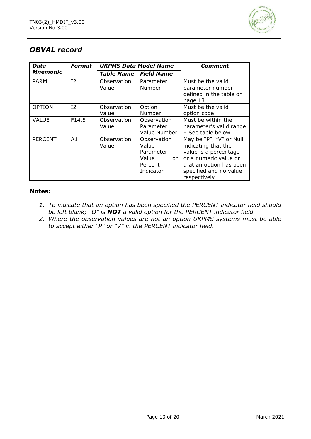

## *OBVAL record*

| Data           | <b>Format</b><br><b>UKPMS Data Model Name</b> |                      |                                                                          | Comment                                                                                                                                                               |
|----------------|-----------------------------------------------|----------------------|--------------------------------------------------------------------------|-----------------------------------------------------------------------------------------------------------------------------------------------------------------------|
| Mnemonic       |                                               | <b>Table Name</b>    | <b>Field Name</b>                                                        |                                                                                                                                                                       |
| <b>PARM</b>    | I <sub>2</sub>                                | Observation<br>Value | Parameter<br>Number                                                      | Must be the valid<br>parameter number<br>defined in the table on<br>page 13                                                                                           |
| <b>OPTION</b>  | 12                                            | Observation<br>Value | Option<br>Number                                                         | Must be the valid<br>option code                                                                                                                                      |
| <b>VALUE</b>   | F14.5                                         | Observation<br>Value | Observation<br>Parameter<br>Value Number                                 | Must be within the<br>parameter's valid range<br>- See table below                                                                                                    |
| <b>PERCENT</b> | A1                                            | Observation<br>Value | Observation<br>Value<br>Parameter<br>Value<br>or<br>Percent<br>Indicator | May be "P", "V" or Null<br>indicating that the<br>value is a percentage<br>or a numeric value or<br>that an option has been<br>specified and no value<br>respectively |

- *1. To indicate that an option has been specified the PERCENT indicator field should be left blank; "O" is NOT a valid option for the PERCENT indicator field.*
- *2. Where the observation values are not an option UKPMS systems must be able to accept either "P" or "V" in the PERCENT indicator field.*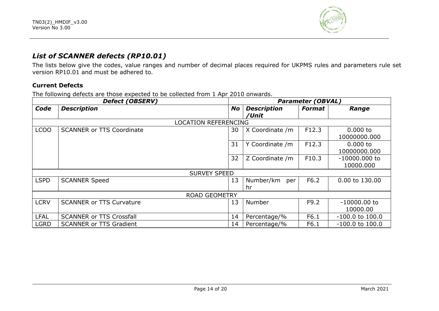

## *List of SCANNER defects (RP10.01)*

The lists below give the codes, value ranges and number of decimal places required for UKPMS rules and parameters rule set version RP10.01 and must be adhered to.

#### **Current Defects**

The following defects are those expected to be collected from 1 Apr 2010 onwards.

|                  | <b>Defect (OBSERV)</b>           |           | <b>Parameter (OBVAL)</b>    |        |                              |  |
|------------------|----------------------------------|-----------|-----------------------------|--------|------------------------------|--|
| Code             | <b>Description</b>               | <b>No</b> | <b>Description</b><br>/Unit | Format | Range                        |  |
|                  | <b>LOCATION REFERENCING</b>      |           |                             |        |                              |  |
| LCO <sub>O</sub> | <b>SCANNER or TTS Coordinate</b> | 30        | X Coordinate /m             | F12.3  | $0.000$ to<br>10000000.000   |  |
|                  |                                  | 31        | Y Coordinate /m             | F12.3  | $0.000$ to<br>10000000.000   |  |
|                  |                                  | 32        | Z Coordinate /m             | F10.3  | $-10000.000$ to<br>10000.000 |  |
|                  | <b>SURVEY SPEED</b>              |           |                             |        |                              |  |
| <b>LSPD</b>      | <b>SCANNER Speed</b>             | 13        | Number/km<br>per<br>hr      | F6.2   | 0.00 to 130.00               |  |
|                  | <b>ROAD GEOMETRY</b>             |           |                             |        |                              |  |
| <b>LCRV</b>      | <b>SCANNER or TTS Curvature</b>  | 13        | Number                      | F9.2   | $-10000.00$ to<br>10000.00   |  |
| <b>LFAL</b>      | <b>SCANNER or TTS Crossfall</b>  | 14        | Percentage/%                | F6.1   | $-100.0$ to $100.0$          |  |
| <b>LGRD</b>      | <b>SCANNER or TTS Gradient</b>   | 14        | Percentage/%                | F6.1   | $-100.0$ to $100.0$          |  |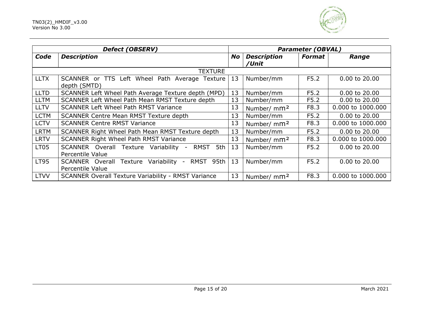

|             | <b>Defect (OBSERV)</b>                                                   | <b>Parameter (OBVAL)</b> |                             |               |                   |
|-------------|--------------------------------------------------------------------------|--------------------------|-----------------------------|---------------|-------------------|
| Code        | <b>Description</b>                                                       | <b>No</b>                | <b>Description</b><br>/Unit | <b>Format</b> | Range             |
|             | <b>TEXTURE</b>                                                           |                          |                             |               |                   |
| <b>LLTX</b> | SCANNER or TTS Left Wheel Path Average Texture<br>depth (SMTD)           | 13                       | Number/mm                   | F5.2          | 0.00 to 20.00     |
| <b>LLTD</b> | SCANNER Left Wheel Path Average Texture depth (MPD)                      | 13                       | Number/mm                   | F5.2          | 0.00 to 20.00     |
| <b>LLTM</b> | SCANNER Left Wheel Path Mean RMST Texture depth                          | 13                       | Number/mm                   | F5.2          | 0.00 to 20.00     |
| <b>LLTV</b> | <b>SCANNER Left Wheel Path RMST Variance</b>                             | 13                       | Number/ mm <sup>2</sup>     | F8.3          | 0.000 to 1000.000 |
| <b>LCTM</b> | <b>SCANNER Centre Mean RMST Texture depth</b>                            | 13                       | Number/mm                   | F5.2          | 0.00 to 20.00     |
| <b>LCTV</b> | <b>SCANNER Centre RMST Variance</b>                                      | 13                       | Number/ mm <sup>2</sup>     | F8.3          | 0.000 to 1000.000 |
| <b>LRTM</b> | SCANNER Right Wheel Path Mean RMST Texture depth                         | 13                       | Number/mm                   | F5.2          | 0.00 to 20.00     |
| <b>LRTV</b> | SCANNER Right Wheel Path RMST Variance                                   | 13                       | Number/ mm <sup>2</sup>     | F8.3          | 0.000 to 1000.000 |
| <b>LT05</b> | RMST<br>5th<br>SCANNER Overall Texture Variability -<br>Percentile Value | 13                       | Number/mm                   | F5.2          | $0.00$ to $20.00$ |
| <b>LT95</b> | RMST 95th<br>SCANNER Overall Texture Variability -<br>Percentile Value   | 13                       | Number/mm                   | F5.2          | 0.00 to 20.00     |
| <b>LTVV</b> | <b>SCANNER Overall Texture Variability - RMST Variance</b>               | 13                       | Number/ mm <sup>2</sup>     | F8.3          | 0.000 to 1000.000 |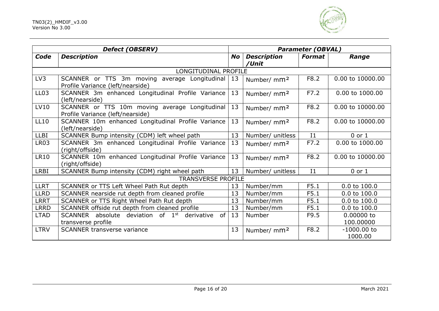

|                  | <b>Defect (OBSERV)</b>                                                                   | <b>Parameter (OBVAL)</b> |                             |                |                          |
|------------------|------------------------------------------------------------------------------------------|--------------------------|-----------------------------|----------------|--------------------------|
| Code             | <b>Description</b>                                                                       | No                       | <b>Description</b><br>/Unit | <b>Format</b>  | Range                    |
|                  | LONGITUDINAL PROFILE                                                                     |                          |                             |                |                          |
| LV3              | SCANNER or TTS 3m moving average Longitudinal<br>Profile Variance (left/nearside)        | 13                       | Number/ mm <sup>2</sup>     | F8.2           | 0.00 to 10000.00         |
| LL <sub>03</sub> | SCANNER 3m enhanced Longitudinal Profile Variance<br>(left/nearside)                     | 13                       | Number/ mm <sup>2</sup>     | F7.2           | 0.00 to 1000.00          |
| LV10             | SCANNER or TTS 10m moving average Longitudinal<br>Profile Variance (left/nearside)       | 13                       | Number/ mm <sup>2</sup>     | F8.2           | 0.00 to 10000.00         |
| <b>LL10</b>      | SCANNER 10m enhanced Longitudinal Profile Variance<br>(left/nearside)                    | 13                       | Number/ mm <sup>2</sup>     | F8.2           | 0.00 to 10000.00         |
| <b>LLBI</b>      | SCANNER Bump intensity (CDM) left wheel path                                             | 13                       | Number/ unitless            | I <sub>1</sub> | $0$ or $1$               |
| LR03             | SCANNER 3m enhanced Longitudinal Profile Variance<br>(right/offside)                     | 13                       | Number/ mm <sup>2</sup>     | F7.2           | 0.00 to 1000.00          |
| <b>LR10</b>      | SCANNER 10m enhanced Longitudinal Profile Variance<br>(right/offside)                    | 13                       | Number/ mm <sup>2</sup>     | F8.2           | 0.00 to 10000.00         |
| <b>LRBI</b>      | SCANNER Bump intensity (CDM) right wheel path                                            | 13                       | Number/ unitless            | I <sub>1</sub> | $0$ or $1$               |
|                  | <b>TRANSVERSE PROFILE</b>                                                                |                          |                             |                |                          |
| <b>LLRT</b>      | SCANNER or TTS Left Wheel Path Rut depth                                                 | 13                       | Number/mm                   | F5.1           | 0.0 to 100.0             |
| <b>LLRD</b>      | SCANNER nearside rut depth from cleaned profile                                          | 13                       | Number/mm                   | F5.1           | 0.0 to 100.0             |
| <b>LRRT</b>      | SCANNER or TTS Right Wheel Path Rut depth                                                | 13                       | Number/mm                   | F5.1           | 0.0 to 100.0             |
| <b>LRRD</b>      | SCANNER offside rut depth from cleaned profile                                           | 13                       | Number/mm                   | F5.1           | 0.0 to 100.0             |
| <b>LTAD</b>      | SCANNER absolute deviation of 1st<br>derivative<br>of <sub>1</sub><br>transverse profile | 13                       | Number                      | F9.5           | 0.00000 to<br>100.00000  |
| <b>LTRV</b>      | <b>SCANNER transverse variance</b>                                                       | 13                       | Number/ mm <sup>2</sup>     | F8.2           | $-1000.00$ to<br>1000.00 |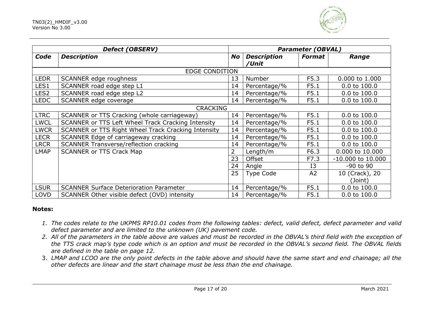

|                  | <b>Defect (OBSERV)</b>                              | <b>Parameter (OBVAL)</b> |                    |                |                       |
|------------------|-----------------------------------------------------|--------------------------|--------------------|----------------|-----------------------|
| Code             | <b>Description</b>                                  | <b>No</b>                | <b>Description</b> | <b>Format</b>  | Range                 |
|                  |                                                     |                          | /Unit              |                |                       |
|                  | <b>EDGE CONDITION</b>                               |                          |                    |                |                       |
| <b>LEDR</b>      | SCANNER edge roughness                              | 13                       | Number             | F5.3           | 0.000 to 1.000        |
| LES1             | SCANNER road edge step L1                           | 14                       | Percentage/%       | F5.1           | 0.0 to 100.0          |
| LES <sub>2</sub> | SCANNER road edge step L2                           | 14                       | Percentage/%       | F5.1           | 0.0 to 100.0          |
| <b>LEDC</b>      | SCANNER edge coverage                               | 14                       | Percentage/%       | F5.1           | 0.0 to 100.0          |
|                  | <b>CRACKING</b>                                     |                          |                    |                |                       |
| <b>LTRC</b>      | SCANNER or TTS Cracking (whole carriageway)         | 14                       | Percentage/%       | F5.1           | $0.0$ to $100.0$      |
| <b>LWCL</b>      | SCANNER or TTS Left Wheel Track Cracking Intensity  | 14                       | Percentage/%       | F5.1           | 0.0 to 100.0          |
| <b>LWCR</b>      | SCANNER or TTS Right Wheel Track Cracking Intensity | 14                       | Percentage/%       | F5.1           | $0.0$ to $100.0$      |
| <b>LECR</b>      | SCANNER Edge of carriageway cracking                | 14                       | Percentage/%       | F5.1           | 0.0 to 100.0          |
| <b>LRCR</b>      | <b>SCANNER Transverse/reflection cracking</b>       | 14                       | Percentage/%       | F5.1           | $0.0$ to $100.0$      |
| <b>LMAP</b>      | <b>SCANNER or TTS Crack Map</b>                     | $\overline{2}$           | Length/m           | F6.3           | 0.000 to 10.000       |
|                  |                                                     | 23                       | Offset             | F7.3           | $-10.000$ to $10.000$ |
|                  |                                                     | 24                       | Angle              | I3             | -90 to 90             |
|                  |                                                     | 25                       | <b>Type Code</b>   | A <sub>2</sub> | 10 (Crack), 20        |
|                  |                                                     |                          |                    |                | (Joint)               |
| <b>LSUR</b>      | <b>SCANNER Surface Deterioration Parameter</b>      | 14                       | Percentage/%       | F5.1           | 0.0 to 100.0          |
| <b>LOVD</b>      | SCANNER Other visible defect (OVD) intensity        | 14                       | Percentage/%       | F5.1           | 0.0 to 100.0          |

- *1. The codes relate to the UKPMS RP10.01 codes from the following tables: defect, valid defect, defect parameter and valid defect parameter and are limited to the unknown (UK) pavement code.*
- *2. All of the parameters in the table above are values and must be recorded in the OBVAL's third field with the exception of the TTS crack map's type code which is an option and must be recorded in the OBVAL's second field. The OBVAL fields are defined in the table on page 12.*
- 3. *LMAP and LCOO are the only point defects in the table above and should have the same start and end chainage; all the other defects are linear and the start chainage must be less than the end chainage.*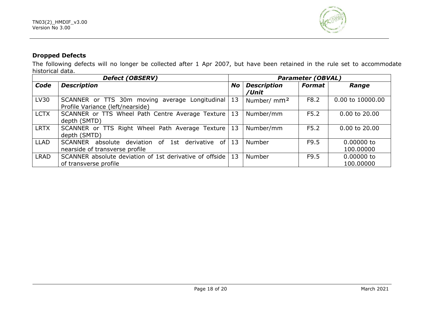

#### **Dropped Defects**

The following defects will no longer be collected after 1 Apr 2007, but have been retained in the rule set to accommodate historical data.

| <b>Defect (OBSERV)</b> |                                                                                              | <b>Parameter (OBVAL)</b> |                             |               |                         |
|------------------------|----------------------------------------------------------------------------------------------|--------------------------|-----------------------------|---------------|-------------------------|
| Code                   | <b>Description</b>                                                                           | <b>No</b>                | <b>Description</b><br>/Unit | <b>Format</b> | Range                   |
| LV30                   | SCANNER or TTS 30m moving average Longitudinal<br>Profile Variance (left/nearside)           | 13                       | Number/ mm <sup>2</sup>     | F8.2          | 0.00 to 10000.00        |
| <b>LCTX</b>            | SCANNER or TTS Wheel Path Centre Average Texture   13<br>depth (SMTD)                        |                          | Number/mm                   | F5.2          | 0.00 to 20.00           |
| <b>LRTX</b>            | SCANNER or TTS Right Wheel Path Average Texture 13<br>depth (SMTD)                           |                          | Number/mm                   | F5.2          | 0.00 to 20.00           |
| <b>LLAD</b>            | absolute deviation of 1st<br>SCANNER<br>derivative<br>of I<br>nearside of transverse profile | 13                       | Number                      | F9.5          | 0.00000 to<br>100.00000 |
| <b>LRAD</b>            | SCANNER absolute deviation of 1st derivative of offside 13<br>of transverse profile          |                          | Number                      | F9.5          | 0.00000 to<br>100.00000 |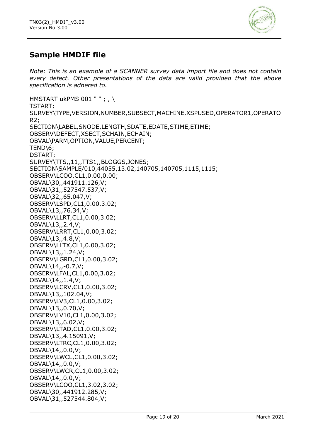

## **Sample HMDIF file**

*Note: This is an example of a SCANNER survey data import file and does not contain every defect. Other presentations of the data are valid provided that the above specification is adhered to.*

HMSTART ukPMS 001 " " ; , \ TSTART; SURVEY\TYPE,VERSION,NUMBER,SUBSECT,MACHINE,XSPUSED,OPERATOR1,OPERATO R2; SECTION\LABEL,SNODE,LENGTH,SDATE,EDATE,STIME,ETIME; OBSERV\DEFECT,XSECT,SCHAIN,ECHAIN; OBVAL\PARM,OPTION,VALUE,PERCENT; TEND\6; DSTART; SURVEY\TTS,,11,,TTS1,,BLOGGS,JONES; SECTION\SAMPLE/010,44055,13.02,140705,140705,1115,1115; OBSERV\LCOO,CL1,0.00,0.00; OBVAL\30,,441911.126,V; OBVAL\31,,527547.537,V; OBVAL\32,,65.047,V; OBSERV\LSPD,CL1,0.00,3.02; OBVAL\13,,76.34,V; OBSERV\LLRT,CL1,0.00,3.02; OBVAL\13,,2.4,V; OBSERV\LRRT,CL1,0.00,3.02; OBVAL\13,,4.8,V; OBSERV\LLTX,CL1,0.00,3.02; OBVAL\13,,1.24,V; OBSERV\LGRD,CL1,0.00,3.02; OBVAL\14,,-0.7,V; OBSERV\LFAL,CL1,0.00,3.02; OBVAL\14,,1.4,V; OBSERV\LCRV,CL1,0.00,3.02; OBVAL\13,,102.04,V; OBSERV\LV3,CL1,0.00,3.02; OBVAL\13,,0.70,V; OBSERV\LV10,CL1,0.00,3.02; OBVAL\13,,6.02,V; OBSERV\LTAD,CL1,0.00,3.02; OBVAL\13,,4.15091,V; OBSERV\LTRC,CL1,0.00,3.02; OBVAL\14,,0.0,V; OBSERV\LWCL,CL1,0.00,3.02; OBVAL\14,,0.0,V; OBSERV\LWCR,CL1,0.00,3.02; OBVAL\14,,0.0,V; OBSERV\LCOO,CL1,3.02,3.02; OBVAL\30,,441912.285,V; OBVAL\31,,527544.804,V;